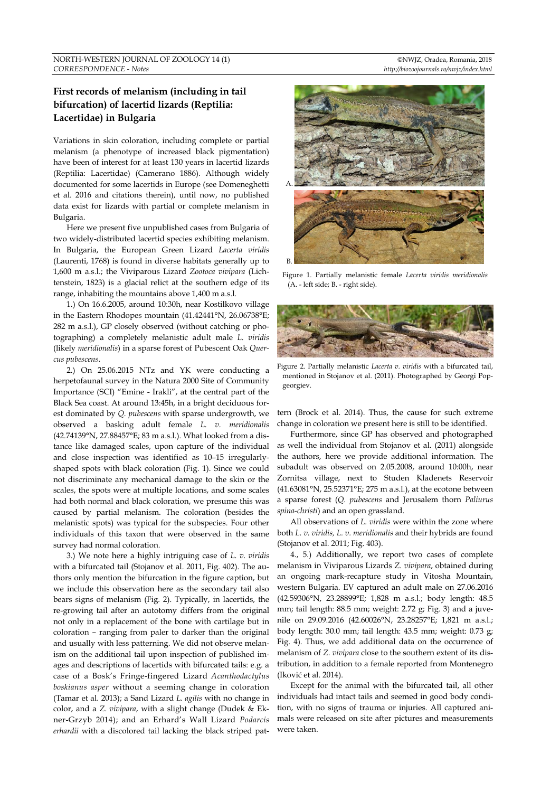# **First records of melanism (including in tail bifurcation) of lacertid lizards (Reptilia: Lacertidae) in Bulgaria**

Variations in skin coloration, including complete or partial melanism (a phenotype of increased black pigmentation) have been of interest for at least 130 years in lacertid lizards (Reptilia: Lacertidae) (Camerano 1886). Although widely documented for some lacertids in Europe (see Domeneghetti et al. 2016 and citations therein), until now, no published data exist for lizards with partial or complete melanism in Bulgaria.

Here we present five unpublished cases from Bulgaria of two widely-distributed lacertid species exhibiting melanism. In Bulgaria, the European Green Lizard *Lacerta viridis*  (Laurenti, 1768) is found in diverse habitats generally up to 1,600 m a.s.l.; the Viviparous Lizard *Zootoca vivipara* (Lichtenstein, 1823) is a glacial relict at the southern edge of its range, inhabiting the mountains above 1,400 m a.s.l.

1.) On 16.6.2005, around 10:30h, near Kostilkovo village in the Eastern Rhodopes mountain (41.42441°N, 26.06738°E; 282 m a.s.l.), GP closely observed (without catching or photographing) a completely melanistic adult male *L. viridis* (likely *meridionalis*) in a sparse forest of Pubescent Oak *Quercus pubescens*.

2.) On 25.06.2015 NTz and YK were conducting a herpetofaunal survey in the Natura 2000 Site of Community Importance (SCI) "Emine - Irakli", at the central part of the Black Sea coast. At around 13:45h, in a bright deciduous forest dominated by *Q. pubescens* with sparse undergrowth, we observed a basking adult female *L. v. meridionalis* (42.74139°N, 27.88457°E; 83 m a.s.l.). What looked from a distance like damaged scales, upon capture of the individual and close inspection was identified as 10–15 irregularlyshaped spots with black coloration (Fig. 1). Since we could not discriminate any mechanical damage to the skin or the scales, the spots were at multiple locations, and some scales had both normal and black coloration, we presume this was caused by partial melanism. The coloration (besides the melanistic spots) was typical for the subspecies. Four other individuals of this taxon that were observed in the same survey had normal coloration.

3.) We note here a highly intriguing case of *L. v. viridis* with a bifurcated tail (Stojanov et al. 2011, Fig. 402). The authors only mention the bifurcation in the figure caption, but we include this observation here as the secondary tail also bears signs of melanism (Fig. 2). Typically, in lacertids, the re-growing tail after an autotomy differs from the original not only in a replacement of the bone with cartilage but in coloration – ranging from paler to darker than the original and usually with less patterning. We did not observe melanism on the additional tail upon inspection of published images and descriptions of lacertids with bifurcated tails: e.g. a case of a Bosk's Fringe-fingered Lizard *Acanthodactylus boskianus asper* without a seeming change in coloration (Tamar et al. 2013); a Sand Lizard *L. agilis* with no change in color, and a *Z. vivipara*, with a slight change (Dudek & Ekner-Grzyb 2014); and an Erhard's Wall Lizard *Podarcis erhardii* with a discolored tail lacking the black striped pat-



Figure 1. Partially melanistic female *Lacerta viridis meridionalis*  (A. - left side; B. - right side).



Figure 2. Partially melanistic *Lacerta v. viridis* with a bifurcated tail, mentioned in Stojanov et al. (2011). Photographed by Georgi Popgeorgiev.

tern (Brock et al. 2014). Thus, the cause for such extreme change in coloration we present here is still to be identified.

Furthermore, since GP has observed and photographed as well the individual from Stojanov et al. (2011) alongside the authors, here we provide additional information. The subadult was observed on 2.05.2008, around 10:00h, near Zornitsa village, next to Studen Kladenets Reservoir (41.63081°N, 25.52371°E; 275 m a.s.l.), at the ecotone between a sparse forest (*Q. pubescens* and Jerusalem thorn *Paliurus spina-christi*) and an open grassland.

All observations of *L. viridis* were within the zone where both *L. v. viridis, L. v. meridionalis* and their hybrids are found (Stojanov et al. 2011; Fig. 403).

4., 5.) Additionally, we report two cases of complete melanism in Viviparous Lizards *Z. vivipara*, obtained during an ongoing mark-recapture study in Vitosha Mountain, western Bulgaria. EV captured an adult male on 27.06.2016 (42.59306°N, 23.28899°E; 1,828 m a.s.l.; body length: 48.5 mm; tail length: 88.5 mm; weight: 2.72 g; Fig. 3) and a juvenile on 29.09.2016 (42.60026°N, 23.28257°E; 1,821 m a.s.l.; body length: 30.0 mm; tail length: 43.5 mm; weight: 0.73 g; Fig. 4). Thus, we add additional data on the occurrence of melanism of *Z. vivipara* close to the southern extent of its distribution, in addition to a female reported from Montenegro (Iković et al. 2014).

Except for the animal with the bifurcated tail, all other individuals had intact tails and seemed in good body condition, with no signs of trauma or injuries. All captured animals were released on site after pictures and measurements were taken.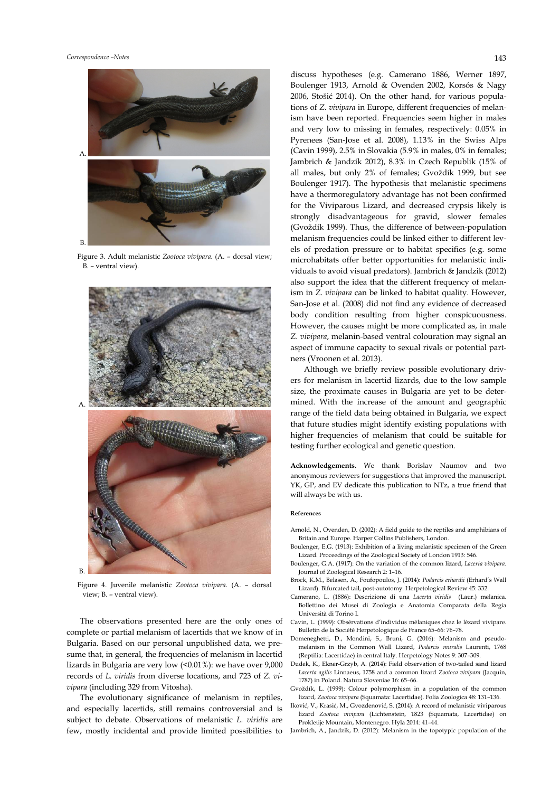

Figure 3. Adult melanistic *Zootoca vivipara*. (A. – dorsal view; B. – ventral view).



Figure 4. Juvenile melanistic *Zootoca vivipara*. (A. – dorsal view; B. – ventral view).

The observations presented here are the only ones of complete or partial melanism of lacertids that we know of in Bulgaria. Based on our personal unpublished data, we presume that, in general, the frequencies of melanism in lacertid lizards in Bulgaria are very low (<0.01%): we have over 9,000 records of *L. viridis* from diverse locations, and 723 of *Z. vivipara* (including 329 from Vitosha).

The evolutionary significance of melanism in reptiles, and especially lacertids, still remains controversial and is subject to debate. Observations of melanistic *L. viridis* are few, mostly incidental and provide limited possibilities to

discuss hypotheses (e.g. Camerano 1886, Werner 1897, Boulenger 1913, Arnold & Ovenden 2002, Korsós & Nagy 2006, Stošić 2014). On the other hand, for various populations of *Z. vivipara* in Europe, different frequencies of melanism have been reported. Frequencies seem higher in males and very low to missing in females, respectively: 0.05% in Pyrenees (San-Jose et al. 2008), 1.13% in the Swiss Alps (Cavin 1999), 2.5% in Slovakia (5.9% in males, 0% in females; Jambrich & Jandzik 2012), 8.3% in Czech Republik (15% of all males, but only 2% of females; Gvoždík 1999, but see Boulenger 1917). The hypothesis that melanistic specimens have a thermoregulatory advantage has not been confirmed for the Viviparous Lizard, and decreased crypsis likely is strongly disadvantageous for gravid, slower females (Gvoždík 1999). Thus, the difference of between-population melanism frequencies could be linked either to different levels of predation pressure or to habitat specifics (e.g. some microhabitats offer better opportunities for melanistic individuals to avoid visual predators). Jambrich & Jandzik (2012) also support the idea that the different frequency of melanism in *Z. vivipara* can be linked to habitat quality. However, San-Jose et al. (2008) did not find any evidence of decreased body condition resulting from higher conspicuousness. However, the causes might be more complicated as, in male *Z. vivipara*, melanin-based ventral colouration may signal an aspect of immune capacity to sexual rivals or potential partners (Vroonen et al. 2013).

Although we briefly review possible evolutionary drivers for melanism in lacertid lizards, due to the low sample size, the proximate causes in Bulgaria are yet to be determined. With the increase of the amount and geographic range of the field data being obtained in Bulgaria, we expect that future studies might identify existing populations with higher frequencies of melanism that could be suitable for testing further ecological and genetic question.

**Acknowledgements.** We thank Borislav Naumov and two anonymous reviewers for suggestions that improved the manuscript. YK, GP, and EV dedicate this publication to NTz, a true friend that will always be with us.

### **References**

- Arnold, N., Ovenden, D. (2002): A field guide to the reptiles and amphibians of Britain and Europe. Harper Collins Publishers, London.
- Boulenger, E.G. (1913): Exhibition of a living melanistic specimen of the Green Lizard. Proceedings of the Zoological Society of London 1913: 546.
- Boulenger, G.A. (1917): On the variation of the common lizard, *Lacerta vivipara*. Journal of Zoological Research 2: 1–16.
- Brock, K.M., Belasen, A., Foufopoulos, J. (2014): *Podarcis erhardii* (Erhard's Wall Lizard). Bifurcated tail, post-autotomy. Herpetological Review 45: 332.
- Camerano, L. (1886): Descrizione di una *Lacerta viridis* (Laur.) melanica. Bollettino dei Musei di Zoologia e Anatomia Comparata della Regia Università di Torino I.
- Cavin, L. (1999): Obsérvations d'individus mélaniques chez le lézard vivipare. Bulletin de la Société Herpetologique de France 65–66: 76–78.
- Domeneghetti, D., Mondini, S., Bruni, G. (2016): Melanism and pseudomelanism in the Common Wall Lizard, *Podarcis muralis* Laurenti, 1768 (Reptilia: Lacertidae) in central Italy. Herpetology Notes 9: 307–309.
- Dudek, K., Ekner-Grzyb, A. (2014): Field observation of two-tailed sand lizard *Lacerta agilis* Linnaeus, 1758 and a common lizard *Zootoca vivipara* (Jacquin, 1787) in Poland. Natura Sloveniae 16: 65–66.
- Gvoždík, L. (1999): Colour polymorphism in a population of the common lizard, *Zootoca vivipara* (Squamata: Lacertidae). Folia Zoologica 48: 131–136.
- Iković, V., Krasić, M., Gvozdenović, S. (2014): A record of melanistic viviparous lizard *Zootoca vivipara* (Lichtenstein, 1823 (Squamata, Lacertidae) on Prokletije Mountain, Montenegro. Hyla 2014: 41–44.
- Jambrich, A., Jandzik, D. (2012): Melanism in the topotypic population of the